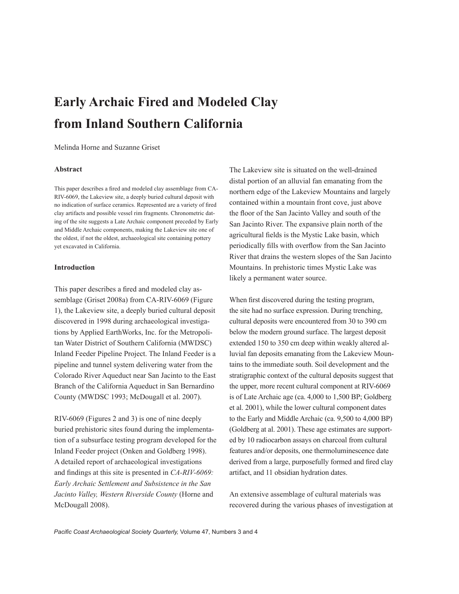# **Early Archaic Fired and Modeled Clay from Inland Southern California**

## Melinda Horne and Suzanne Griset

## **Abstract**

This paper describes a fired and modeled clay assemblage from CA-RIV-6069, the Lakeview site, a deeply buried cultural deposit with no indication of surface ceramics. Represented are a variety of fired clay artifacts and possible vessel rim fragments. Chronometric dating of the site suggests a Late Archaic component preceded by Early and Middle Archaic components, making the Lakeview site one of the oldest, if not the oldest, archaeological site containing pottery yet excavated in California.

## **Introduction**

This paper describes a fired and modeled clay assemblage (Griset 2008a) from CA-RIV-6069 (Figure 1), the Lakeview site, a deeply buried cultural deposit discovered in 1998 during archaeological investigations by Applied EarthWorks, Inc. for the Metropolitan Water District of Southern California (MWDSC) Inland Feeder Pipeline Project. The Inland Feeder is a pipeline and tunnel system delivering water from the Colorado River Aqueduct near San Jacinto to the East Branch of the California Aqueduct in San Bernardino County (MWDSC 1993; McDougall et al. 2007).

RIV-6069 (Figures 2 and 3) is one of nine deeply buried prehistoric sites found during the implementation of a subsurface testing program developed for the Inland Feeder project (Onken and Goldberg 1998). A detailed report of archaeological investigations and findings at this site is presented in *CA-RIV-6069: Early Archaic Settlement and Subsistence in the San Jacinto Valley, Western Riverside County* (Horne and McDougall 2008).

The Lakeview site is situated on the well-drained distal portion of an alluvial fan emanating from the northern edge of the Lakeview Mountains and largely contained within a mountain front cove, just above the floor of the San Jacinto Valley and south of the San Jacinto River. The expansive plain north of the agricultural fields is the Mystic Lake basin, which periodically fills with overflow from the San Jacinto River that drains the western slopes of the San Jacinto Mountains. In prehistoric times Mystic Lake was likely a permanent water source.

When first discovered during the testing program, the site had no surface expression. During trenching, cultural deposits were encountered from 30 to 390 cm below the modern ground surface. The largest deposit extended 150 to 350 cm deep within weakly altered alluvial fan deposits emanating from the Lakeview Mountains to the immediate south. Soil development and the stratigraphic context of the cultural deposits suggest that the upper, more recent cultural component at RIV-6069 is of Late Archaic age (ca. 4,000 to 1,500 BP; Goldberg et al. 2001), while the lower cultural component dates to the Early and Middle Archaic (ca. 9,500 to 4,000 BP) (Goldberg at al. 2001). These age estimates are supported by 10 radiocarbon assays on charcoal from cultural features and/or deposits, one thermoluminescence date derived from a large, purposefully formed and fired clay artifact, and 11 obsidian hydration dates.

An extensive assemblage of cultural materials was recovered during the various phases of investigation at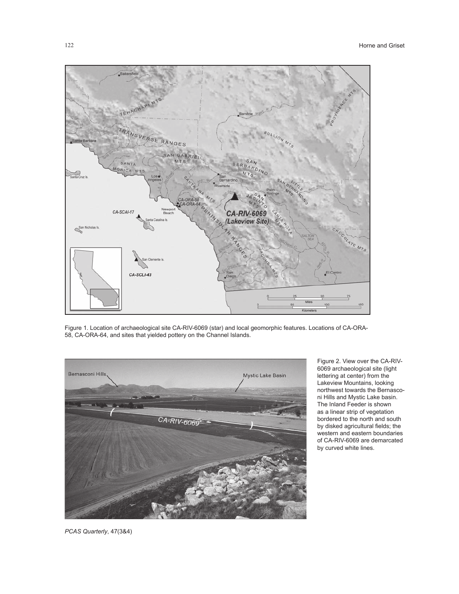

Figure 1. Location of archaeological site CA-RIV-6069 (star) and local geomorphic features. Locations of CA-ORA-58, CA-ORA-64, and sites that yielded pottery on the Channel Islands.



Figure 2. View over the CA-RIV-6069 archaeological site (light lettering at center) from the Lakeview Mountains, looking northwest towards the Bernasconi Hills and Mystic Lake basin. The Inland Feeder is shown as a linear strip of vegetation bordered to the north and south by disked agricultural fields; the western and eastern boundaries of CA-RIV-6069 are demarcated by curved white lines.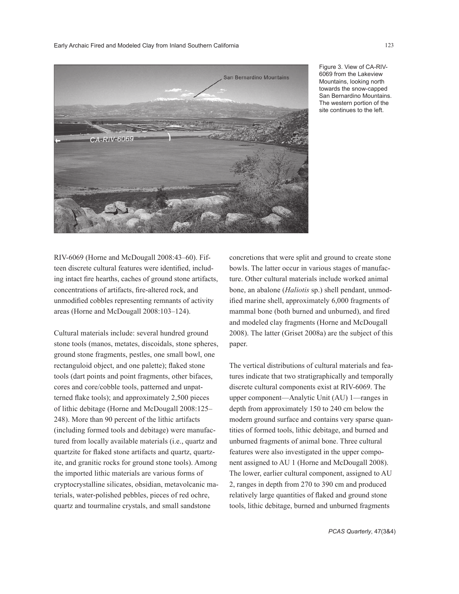

Figure 3. View of CA-RIV-6069 from the Lakeview Mountains, looking north towards the snow-capped San Bernardino Mountains. The western portion of the site continues to the left.

RIV-6069 (Horne and McDougall 2008:43–60). Fifteen discrete cultural features were identified, including intact fire hearths, caches of ground stone artifacts, concentrations of artifacts, fire-altered rock, and unmodified cobbles representing remnants of activity areas (Horne and McDougall 2008:103–124).

Cultural materials include: several hundred ground stone tools (manos, metates, discoidals, stone spheres, ground stone fragments, pestles, one small bowl, one rectanguloid object, and one palette); flaked stone tools (dart points and point fragments, other bifaces, cores and core/cobble tools, patterned and unpatterned flake tools); and approximately 2,500 pieces of lithic debitage (Horne and McDougall 2008:125– 248). More than 90 percent of the lithic artifacts (including formed tools and debitage) were manufactured from locally available materials (i.e., quartz and quartzite for flaked stone artifacts and quartz, quartzite, and granitic rocks for ground stone tools). Among the imported lithic materials are various forms of cryptocrystalline silicates, obsidian, metavolcanic materials, water-polished pebbles, pieces of red ochre, quartz and tourmaline crystals, and small sandstone

concretions that were split and ground to create stone bowls. The latter occur in various stages of manufacture. Other cultural materials include worked animal bone, an abalone (*Haliotis* sp.) shell pendant, unmodified marine shell, approximately 6,000 fragments of mammal bone (both burned and unburned), and fired and modeled clay fragments (Horne and McDougall 2008). The latter (Griset 2008a) are the subject of this paper.

The vertical distributions of cultural materials and features indicate that two stratigraphically and temporally discrete cultural components exist at RIV-6069. The upper component—Analytic Unit (AU) 1—ranges in depth from approximately 150 to 240 cm below the modern ground surface and contains very sparse quantities of formed tools, lithic debitage, and burned and unburned fragments of animal bone. Three cultural features were also investigated in the upper component assigned to AU 1 (Horne and McDougall 2008). The lower, earlier cultural component, assigned to AU 2, ranges in depth from 270 to 390 cm and produced relatively large quantities of flaked and ground stone tools, lithic debitage, burned and unburned fragments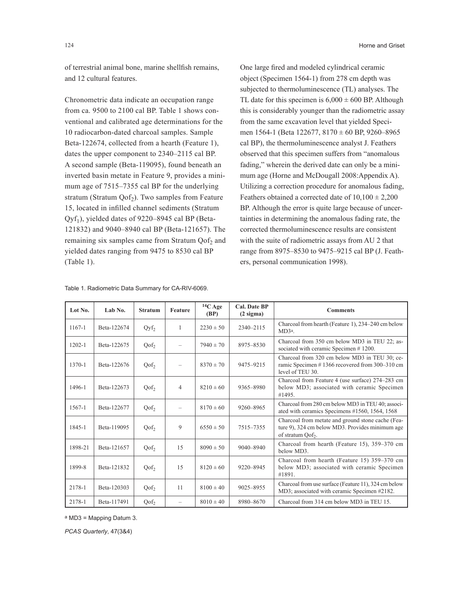of terrestrial animal bone, marine shellfish remains, and 12 cultural features.

Chronometric data indicate an occupation range from ca. 9500 to 2100 cal BP. Table 1 shows conventional and calibrated age determinations for the 10 radiocarbon-dated charcoal samples. Sample Beta-122674, collected from a hearth (Feature 1), dates the upper component to 2340–2115 cal BP. A second sample (Beta-119095), found beneath an inverted basin metate in Feature 9, provides a minimum age of 7515–7355 cal BP for the underlying stratum (Stratum Qof<sub>2</sub>). Two samples from Feature 15, located in infilled channel sediments (Stratum  $Qyf_1$ ), yielded dates of 9220–8945 cal BP (Beta-121832) and 9040–8940 cal BP (Beta-121657). The remaining six samples came from Stratum Qof<sub>2</sub> and yielded dates ranging from 9475 to 8530 cal BP (Table 1).

One large fired and modeled cylindrical ceramic object (Specimen 1564-1) from 278 cm depth was subjected to thermoluminescence (TL) analyses. The TL date for this specimen is  $6,000 \pm 600$  BP. Although this is considerably younger than the radiometric assay from the same excavation level that yielded Specimen 1564-1 (Beta 122677, 8170 ± 60 BP, 9260–8965 cal BP), the thermoluminescence analyst J. Feathers observed that this specimen suffers from "anomalous fading," wherein the derived date can only be a minimum age (Horne and McDougall 2008:Appendix A). Utilizing a correction procedure for anomalous fading, Feathers obtained a corrected date of  $10,100 \pm 2,200$ BP. Although the error is quite large because of uncertainties in determining the anomalous fading rate, the corrected thermoluminescence results are consistent with the suite of radiometric assays from AU 2 that range from 8975–8530 to 9475–9215 cal BP (J. Feathers, personal communication 1998).

| Lot No.    | Lab No.     | <b>Stratum</b>   | <b>Feature</b>           | $14C$ Age<br>(BP) | <b>Cal. Date BP</b><br>$(2 \text{ sigma})$ | <b>Comments</b>                                                                                                                       |  |
|------------|-------------|------------------|--------------------------|-------------------|--------------------------------------------|---------------------------------------------------------------------------------------------------------------------------------------|--|
| $1167 - 1$ | Beta-122674 | $Qyf_2$          | 1                        | $2230 \pm 50$     | 2340-2115                                  | Charcoal from hearth (Feature 1), 234-240 cm below<br>MD3 <sup>a</sup> .                                                              |  |
| $1202 - 1$ | Beta-122675 | Qof <sub>2</sub> | $\overline{\phantom{0}}$ | $7940 \pm 70$     | 8975-8530                                  | Charcoal from 350 cm below MD3 in TEU 22; as-<br>sociated with ceramic Specimen #1200.                                                |  |
| 1370-1     | Beta-122676 | Qof <sub>2</sub> |                          | $8370 \pm 70$     | 9475-9215                                  | Charcoal from 320 cm below MD3 in TEU 30; ce-<br>ramic Specimen #1366 recovered from 300–310 cm<br>level of TEU 30.                   |  |
| 1496-1     | Beta-122673 | $Qof_2$          | $\overline{4}$           | $8210 \pm 60$     | 9365-8980                                  | Charcoal from Feature 4 (use surface) 274–283 cm<br>below MD3; associated with ceramic Specimen<br>#1495.                             |  |
| $1567 - 1$ | Beta-122677 | $Qof_2$          |                          | $8170 \pm 60$     | 9260-8965                                  | Charcoal from 280 cm below MD3 in TEU 40; associ-<br>ated with ceramics Specimens #1560, 1564, 1568                                   |  |
| 1845-1     | Beta-119095 | Qof <sub>2</sub> | 9                        | $6550 \pm 50$     | 7515-7355                                  | Charcoal from metate and ground stone cache (Fea-<br>ture 9), 324 cm below MD3. Provides minimum age<br>of stratum Qof <sub>2</sub> . |  |
| 1898-21    | Beta-121657 | $Qof_2$          | 15                       | $8090 \pm 50$     | 9040-8940                                  | Charcoal from hearth (Feature 15), 359–370 cm<br>below MD3.                                                                           |  |
| 1899-8     | Beta-121832 | $Qof_2$          | 15                       | $8120 \pm 60$     | 9220-8945                                  | Charcoal from hearth (Feature 15) 359-370 cm<br>below MD3; associated with ceramic Specimen<br>#1891.                                 |  |
| 2178-1     | Beta-120303 | $Qof_2$          | 11                       | $8100 \pm 40$     | 9025-8955                                  | Charcoal from use surface (Feature 11), 324 cm below<br>MD3; associated with ceramic Specimen #2182.                                  |  |
| 2178-1     | Beta-117491 | Qof <sub>2</sub> | $\overline{\phantom{0}}$ | $8010 \pm 40$     | 8980-8670                                  | Charcoal from 314 cm below MD3 in TEU 15.                                                                                             |  |

Table 1. Radiometric Data Summary for CA-RIV-6069.

a MD3 = Mapping Datum 3.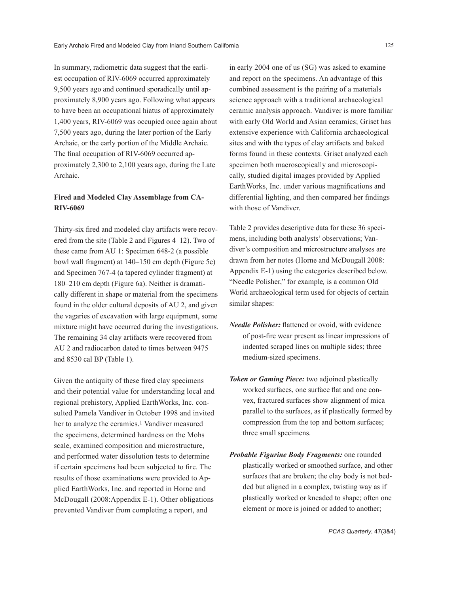In summary, radiometric data suggest that the earliest occupation of RIV-6069 occurred approximately 9,500 years ago and continued sporadically until approximately 8,900 years ago. Following what appears to have been an occupational hiatus of approximately 1,400 years, RIV-6069 was occupied once again about 7,500 years ago, during the later portion of the Early Archaic, or the early portion of the Middle Archaic. The final occupation of RIV-6069 occurred approximately 2,300 to 2,100 years ago, during the Late Archaic.

# **Fired and Modeled Clay Assemblage from CA-RIV-6069**

Thirty-six fired and modeled clay artifacts were recovered from the site (Table 2 and Figures 4–12). Two of these came from AU 1: Specimen 648-2 (a possible bowl wall fragment) at 140–150 cm depth (Figure 5e) and Specimen 767-4 (a tapered cylinder fragment) at 180–210 cm depth (Figure 6a). Neither is dramatically different in shape or material from the specimens found in the older cultural deposits of AU 2, and given the vagaries of excavation with large equipment, some mixture might have occurred during the investigations. The remaining 34 clay artifacts were recovered from AU 2 and radiocarbon dated to times between 9475 and 8530 cal BP (Table 1).

Given the antiquity of these fired clay specimens and their potential value for understanding local and regional prehistory, Applied EarthWorks, Inc. consulted Pamela Vandiver in October 1998 and invited her to analyze the ceramics.<sup>1</sup> Vandiver measured the specimens, determined hardness on the Mohs scale, examined composition and microstructure, and performed water dissolution tests to determine if certain specimens had been subjected to fire. The results of those examinations were provided to Applied EarthWorks, Inc. and reported in Horne and McDougall (2008:Appendix E-1). Other obligations prevented Vandiver from completing a report, and

in early 2004 one of us (SG) was asked to examine and report on the specimens. An advantage of this combined assessment is the pairing of a materials science approach with a traditional archaeological ceramic analysis approach. Vandiver is more familiar with early Old World and Asian ceramics; Griset has extensive experience with California archaeological sites and with the types of clay artifacts and baked forms found in these contexts. Griset analyzed each specimen both macroscopically and microscopically, studied digital images provided by Applied EarthWorks, Inc. under various magnifications and differential lighting, and then compared her findings with those of Vandiver.

Table 2 provides descriptive data for these 36 specimens, including both analysts' observations; Vandiver's composition and microstructure analyses are drawn from her notes (Horne and McDougall 2008: Appendix E-1) using the categories described below. "Needle Polisher," for example*,* is a common Old World archaeological term used for objects of certain similar shapes:

- *Needle Polisher:* flattened or ovoid, with evidence of post-fire wear present as linear impressions of indented scraped lines on multiple sides; three medium-sized specimens.
- *Token or Gaming Piece:* two adjoined plastically worked surfaces, one surface flat and one convex, fractured surfaces show alignment of mica parallel to the surfaces, as if plastically formed by compression from the top and bottom surfaces; three small specimens.
- *Probable Figurine Body Fragments:* one rounded plastically worked or smoothed surface, and other surfaces that are broken; the clay body is not bedded but aligned in a complex, twisting way as if plastically worked or kneaded to shape; often one element or more is joined or added to another;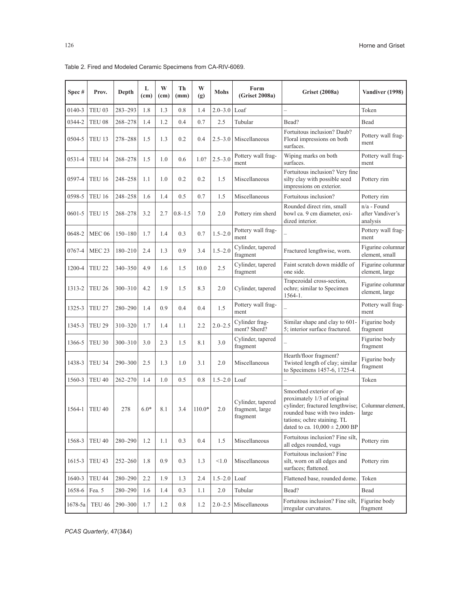| Spec#      | Prov.             | Depth       | L<br>(c <sub>m</sub> ) | W<br>(c <sub>m</sub> ) | Th<br>(mm)  | W<br>(g) | <b>Mohs</b> | Form<br>(Griset 2008a)                           | <b>Griset (2008a)</b>                                                                                                                                                                           | Vandiver (1998)                               |
|------------|-------------------|-------------|------------------------|------------------------|-------------|----------|-------------|--------------------------------------------------|-------------------------------------------------------------------------------------------------------------------------------------------------------------------------------------------------|-----------------------------------------------|
| 0140-3     | TEU <sub>03</sub> | 283-293     | 1.8                    | 1.3                    | 0.8         | 1.4      | $2.0 - 3.0$ | Loaf                                             |                                                                                                                                                                                                 | Token                                         |
| 0344-2     | TEU <sub>08</sub> | 268-278     | 1.4                    | 1.2                    | 0.4         | 0.7      | 2.5         | Tubular                                          | Bead?                                                                                                                                                                                           | Bead                                          |
| 0504-5     | TEU <sub>13</sub> | 278-288     | 1.5                    | 1.3                    | 0.2         | 0.4      | $2.5 - 3.0$ | Miscellaneous                                    | Fortuitous inclusion? Daub?<br>Floral impressions on both<br>surfaces.                                                                                                                          | Pottery wall frag-<br>ment                    |
| 0531-4     | TEU 14            | 268-278     | 1.5                    | 1.0                    | 0.6         | 1.0?     | $2.5 - 3.0$ | Pottery wall frag-<br>ment                       | Wiping marks on both<br>surfaces.                                                                                                                                                               | Pottery wall frag-<br>ment                    |
| 0597-4     | <b>TEU 16</b>     | 248-258     | 1.1                    | 1.0                    | 0.2         | 0.2      | 1.5         | Miscellaneous                                    | Fortuitous inclusion? Very fine<br>silty clay with possible seed<br>impressions on exterior.                                                                                                    | Pottery rim                                   |
| 0598-5     | <b>TEU 16</b>     | 248-258     | 1.6                    | 1.4                    | 0.5         | 0.7      | 1.5         | Miscellaneous                                    | Fortuitous inclusion?                                                                                                                                                                           | Pottery rim                                   |
| $0601 - 5$ | TEU 15            | 268-278     | 3.2                    | 2.7                    | $0.8 - 1.5$ | 7.0      | 2.0         | Pottery rim sherd                                | Rounded direct rim, small<br>bowl ca. 9 cm diameter, oxi-<br>dized interior.                                                                                                                    | $n/a$ - Found<br>after Vandiver's<br>analysis |
| 0648-2     | <b>MEC 06</b>     | $150 - 180$ | 1.7                    | 1.4                    | 0.3         | 0.7      | $1.5 - 2.0$ | Pottery wall frag-<br>ment                       |                                                                                                                                                                                                 | Pottery wall frag-<br>ment                    |
| 0767-4     | MEC <sub>23</sub> | $180 - 210$ | 2.4                    | 1.3                    | 0.9         | 3.4      | $1.5 - 2.0$ | Cylinder, tapered<br>fragment                    | Fractured lengthwise, worn.                                                                                                                                                                     | Figurine columnar<br>element, small           |
| 1200-4     | TEU <sub>22</sub> | 340-350     | 4.9                    | 1.6                    | 1.5         | 10.0     | 2.5         | Cylinder, tapered<br>fragment                    | Faint scratch down middle of<br>one side.                                                                                                                                                       | Figurine columnar<br>element, large           |
| 1313-2     | TEU 26            | $300 - 310$ | 4.2                    | 1.9                    | 1.5         | 8.3      | 2.0         | Cylinder, tapered                                | Trapezoidal cross-section,<br>ochre; similar to Specimen<br>$1564 - 1.$                                                                                                                         | Figurine columnar<br>element, large           |
| 1325-3     | TEU <sub>27</sub> | 280-290     | 1.4                    | 0.9                    | 0.4         | 0.4      | 1.5         | Pottery wall frag-<br>ment                       |                                                                                                                                                                                                 | Pottery wall frag-<br>ment                    |
| 1345-3     | TEU <sub>29</sub> | 310-320     | 1.7                    | 1.4                    | 1.1         | 2.2      | $2.0 - 2.5$ | Cylinder frag-<br>ment? Sherd?                   | Similar shape and clay to 601-<br>5; interior surface fractured.                                                                                                                                | Figurine body<br>fragment                     |
| 1366-5     | TEU 30            | $300 - 310$ | 3.0                    | 2.3                    | 1.5         | 8.1      | 3.0         | Cylinder, tapered<br>fragment                    |                                                                                                                                                                                                 | Figurine body<br>fragment                     |
| 1438-3     | TEU 34            | $290 - 300$ | 2.5                    | 1.3                    | 1.0         | 3.1      | 2.0         | Miscellaneous                                    | Hearth/floor fragment?<br>Twisted length of clay; similar<br>to Specimens 1457-6, 1725-4.                                                                                                       | Figurine body<br>fragment                     |
| 1560-3     | TEU 40            | $262 - 270$ | 1.4                    | 1.0                    | 0.5         | 0.8      | $1.5 - 2.0$ | Loaf                                             |                                                                                                                                                                                                 | Token                                         |
| 1564-1     | TEU <sub>40</sub> | 278         | $6.0*$                 | 8.1                    | 3.4         | $110.0*$ | 2.0         | Cylinder, tapered<br>fragment, large<br>fragment | Smoothed exterior of ap-<br>proximately 1/3 of original<br>cylinder; fractured lengthwise;<br>rounded base with two inden-<br>tations; ochre staining. TL<br>dated to ca. $10,000 \pm 2,000$ BP | Columnar element,<br>large                    |
| 1568-3     | TEU 40            | 280-290     | 1.2                    | 1.1                    | 0.3         | 0.4      | 1.5         | Miscellaneous                                    | Fortuitous inclusion? Fine silt,<br>all edges rounded, vugs                                                                                                                                     | Pottery rim                                   |
| 1615-3     | TEU 43            | $252 - 260$ | 1.8                    | 0.9                    | 0.3         | 1.3      | < 1.0       | Miscellaneous                                    | Fortuitous inclusion? Fine<br>silt, worn on all edges and<br>surfaces; flattened.                                                                                                               | Pottery rim                                   |
| 1640-3     | TEU 44            | 280-290     | 2.2                    | 1.9                    | 1.3         | 2.4      | $1.5 - 2.0$ | Loaf                                             | Flattened base, rounded dome.                                                                                                                                                                   | Token                                         |
| 1658-6     | Fea. 5            | 280-290     | 1.6                    | 1.4                    | 0.3         | 1.1      | $2.0\,$     | Tubular                                          | Bead?                                                                                                                                                                                           | Bead                                          |
| 1678-5a    | TEU 46            | 290-300     | 1.7                    | 1.2                    | 0.8         | 1.2      | $2.0 - 2.5$ | Miscellaneous                                    | Fortuitous inclusion? Fine silt.<br>irregular curvatures.                                                                                                                                       | Figurine body<br>fragment                     |

Table 2. Fired and Modeled Ceramic Specimens from CA-RIV-6069.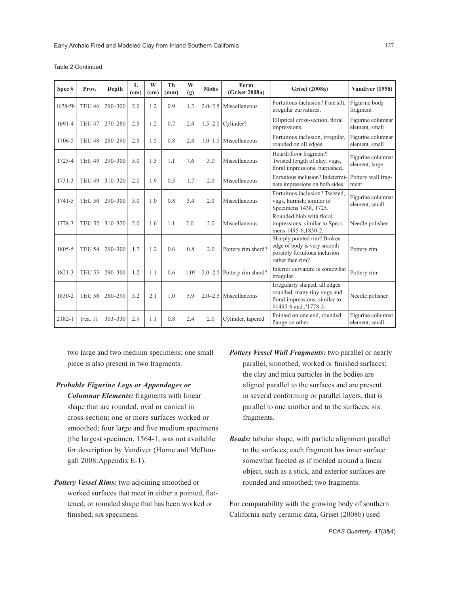| Spec#   | Prov.             | Depth       | L<br>(c <sub>m</sub> ) | W<br>(c <sub>m</sub> ) | Тh<br>(mm) | W<br>(g) | <b>Mohs</b> | Form<br>(Griset 2008a)         | <b>Griset (2008a)</b>                                                                                            | Vandiver (1998)                     |
|---------|-------------------|-------------|------------------------|------------------------|------------|----------|-------------|--------------------------------|------------------------------------------------------------------------------------------------------------------|-------------------------------------|
| 1678-5b | TEU <sub>46</sub> | $290 - 300$ | 2.0                    | 1.2                    | 0.9        | 1.2      | $2.0 - 2.5$ | Miscellaneous                  | Fortuitous inclusion? Fine silt.<br>irregular curvatures.                                                        | Figurine body<br>fragment           |
| 1691-4  | TEU <sub>47</sub> | $270 - 280$ | 2.5                    | 1.2                    | 0.7        | 2.4      |             | $1.5-2.5$ Cylinder?            | Elliptical cross-section, floral<br>impressions.                                                                 | Figurine columnar<br>element, small |
| 1706-5  | TEU <sub>48</sub> | $280 - 290$ | 2.5                    | 1.5                    | 0.8        | 2.4      | $1.0 - 1.5$ | Miscellaneous                  | Fortuitous inclusion, irregular,<br>rounded on all edges.                                                        | Figurine columnar<br>element, small |
| 1725-4  | TEU <sub>49</sub> | $290 - 300$ | 5.0                    | 1.5                    | 1.1        | 7.6      | 3.0         | Miscellaneous                  | Hearth/floor fragment?<br>Twisted length of clay, vugs,<br>floral impressions, burnished.                        | Figurine columnar<br>element, large |
| 1731-3  | TEU <sub>49</sub> | $310 - 320$ | 2.0                    | 1.9                    | 0.3        | 1.7      | 2.0         | Miscellaneous                  | Fortuitous inclusion? Indetermi-<br>nate impressions on both sides.                                              | Pottery wall frag-<br>ment          |
| 1741-5  | <b>TEU 50</b>     | $290 - 300$ | 3.0                    | 1.0                    | 0.8        | 3.4      | 2.0         | Miscellaneous                  | Fortuitous inclusion? Twisted.<br>vugs, burnish; similar to<br>Specimens 1438, 1725.                             | Figurine columnar<br>element, small |
| 1778-3  | <b>TEU 52</b>     | $310 - 320$ | 2.0                    | 1.6                    | 1.1        | 2.0.     | 2.0         | Miscellaneous                  | Rounded blob with floral<br>impressions; similar to Speci-<br>mens 1495-6,1830-2.                                | Needle polisher                     |
| 1805-5  | <b>TEU 54</b>     | $290 - 300$ | 1.7                    | 1.2                    | 0.6        | 0.8      | 2.0         | Pottery rim sherd?             | Sharply pointed rim? Broken<br>edge of body is very smooth—<br>possibly fortuitous inclusion<br>rather than rim? | Pottery rim                         |
| 1821-3  | <b>TEU 55</b>     | $290 - 300$ | 1.2                    | 1.1                    | 0.6        | 1.0?     |             | $2.0 - 2.5$ Pottery rim sherd? | Interior curvature is somewhat<br>irregular.                                                                     | Pottery rim                         |

Table 2 Continued.

two large and two medium specimens; one small piece is also present in two fragments.

1830-2 TEU 56 280-290 3.2 2.1 1.0 5.9 2.0-2.5 Miscellaneous

2182-1 Fea. 11  $\begin{vmatrix} 303-330 & 2.9 \\ 1.1 & 0.8 \end{vmatrix}$  2.4  $\begin{vmatrix} 2.0 & 2.0 \\ 2.0 & \text{Cylinder, tapered} \end{vmatrix}$  Pointed on one end, rounded

- *Probable Figurine Legs or Appendages or Columnar Elements:* fragments with linear shape that are rounded, oval or conical in cross-section; one or more surfaces worked or smoothed; four large and five medium specimens (the largest specimen, 1564-1, was not available for description by Vandiver (Horne and McDougall 2008:Appendix E-1).
- *Pottery Vessel Rims:* two adjoining smoothed or worked surfaces that meet in either a pointed, flattened, or rounded shape that has been worked or finished; six specimens.
- *Pottery Vessel Wall Fragments:* two parallel or nearly parallel, smoothed, worked or finished surfaces; the clay and mica particles in the bodies are aligned parallel to the surfaces and are present in several conforming or parallel layers, that is parallel to one another and to the surfaces; six fragments.

Irregularly shaped, all edges rounded, many tiny vugs and floral impressions, similar to #1495-6 and #1778-3.

flange on other.

*Beads:* tubular shape, with particle alignment parallel to the surfaces; each fragment has inner surface somewhat faceted as if molded around a linear object, such as a stick, and exterior surfaces are rounded and smoothed; two fragments.

For comparability with the growing body of southern California early ceramic data, Griset (2008b) used

Needle polisher

Figurine columnar element, small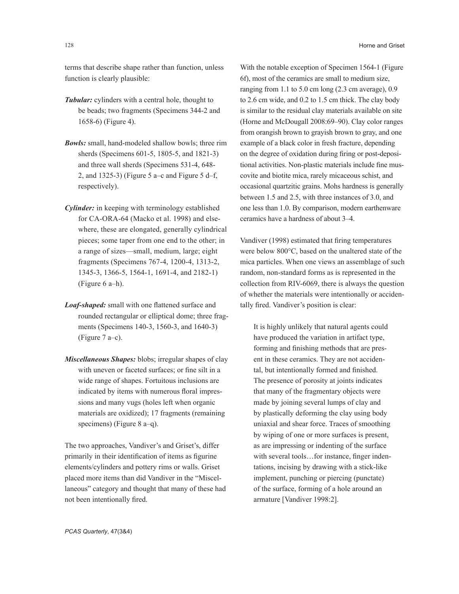terms that describe shape rather than function, unless function is clearly plausible:

- *Tubular:* cylinders with a central hole, thought to be beads; two fragments (Specimens 344-2 and 1658-6) (Figure 4).
- *Bowls:* small, hand-modeled shallow bowls; three rim sherds (Specimens 601-5, 1805-5, and 1821-3) and three wall sherds (Specimens 531-4, 648- 2, and  $1325-3$ ) (Figure 5 a–c and Figure 5 d–f, respectively).
- *Cylinder:* in keeping with terminology established for CA-ORA-64 (Macko et al. 1998) and elsewhere, these are elongated, generally cylindrical pieces; some taper from one end to the other; in a range of sizes—small, medium, large; eight fragments (Specimens 767-4, 1200-4, 1313-2, 1345-3, 1366-5, 1564-1, 1691-4, and 2182-1) (Figure 6 a–h).
- *Loaf-shaped:* small with one flattened surface and rounded rectangular or elliptical dome; three fragments (Specimens 140-3, 1560-3, and 1640-3) (Figure 7 a–c).
- *Miscellaneous Shapes:* blobs; irregular shapes of clay with uneven or faceted surfaces; or fine silt in a wide range of shapes. Fortuitous inclusions are indicated by items with numerous floral impressions and many vugs (holes left when organic materials are oxidized); 17 fragments (remaining specimens) (Figure 8 a–q).

The two approaches, Vandiver's and Griset's, differ primarily in their identification of items as figurine elements/cylinders and pottery rims or walls. Griset placed more items than did Vandiver in the "Miscellaneous" category and thought that many of these had not been intentionally fired.

With the notable exception of Specimen 1564-1 (Figure 6f), most of the ceramics are small to medium size, ranging from 1.1 to 5.0 cm long (2.3 cm average), 0.9 to 2.6 cm wide, and 0.2 to 1.5 cm thick. The clay body is similar to the residual clay materials available on site (Horne and McDougall 2008:69–90). Clay color ranges from orangish brown to grayish brown to gray, and one example of a black color in fresh fracture, depending on the degree of oxidation during firing or post-depositional activities. Non-plastic materials include fine muscovite and biotite mica, rarely micaceous schist, and occasional quartzitic grains. Mohs hardness is generally between 1.5 and 2.5, with three instances of 3.0, and one less than 1.0. By comparison, modern earthenware ceramics have a hardness of about 3–4.

Vandiver (1998) estimated that firing temperatures were below 800°C, based on the unaltered state of the mica particles. When one views an assemblage of such random, non-standard forms as is represented in the collection from RIV-6069, there is always the question of whether the materials were intentionally or accidentally fired. Vandiver's position is clear:

It is highly unlikely that natural agents could have produced the variation in artifact type, forming and finishing methods that are present in these ceramics. They are not accidental, but intentionally formed and finished. The presence of porosity at joints indicates that many of the fragmentary objects were made by joining several lumps of clay and by plastically deforming the clay using body uniaxial and shear force. Traces of smoothing by wiping of one or more surfaces is present, as are impressing or indenting of the surface with several tools...for instance, finger indentations, incising by drawing with a stick-like implement, punching or piercing (punctate) of the surface, forming of a hole around an armature [Vandiver 1998:2].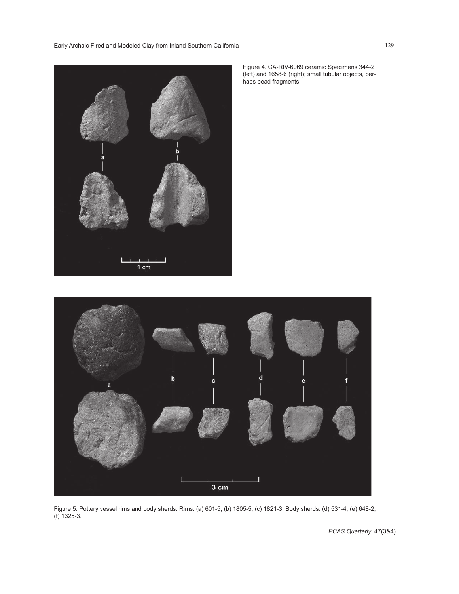Early Archaic Fired and Modeled Clay from Inland Southern California 129



Figure 4. CA-RIV-6069 ceramic Specimens 344-2 (left) and 1658-6 (right); small tubular objects, perhaps bead fragments.



Figure 5. Pottery vessel rims and body sherds. Rims: (a) 601-5; (b) 1805-5; (c) 1821-3. Body sherds: (d) 531-4; (e) 648-2; (f) 1325-3.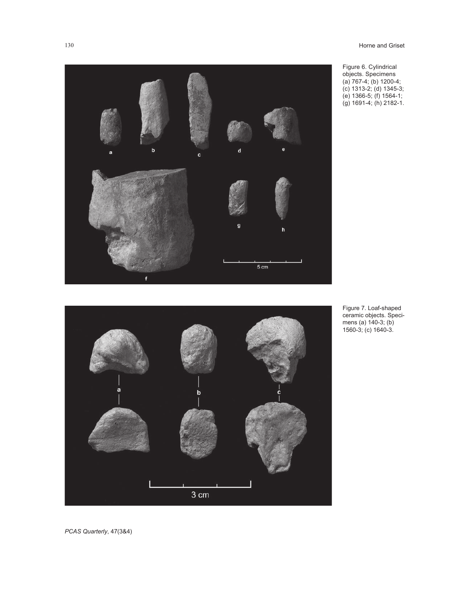

f

Figure 7. Loaf-shaped ceramic objects. Specimens (a) 140-3; (b) 1560-3; (c) 1640-3.

g

 $5 \text{ cm}$ 

130 Horne and Griset

Figure 6. Cylindrical objects. Specimens (a) 767-4; (b) 1200-4; (c) 1313-2; (d) 1345-3; (e) 1366-5; (f) 1564-1; (g) 1691-4; (h) 2182-1.

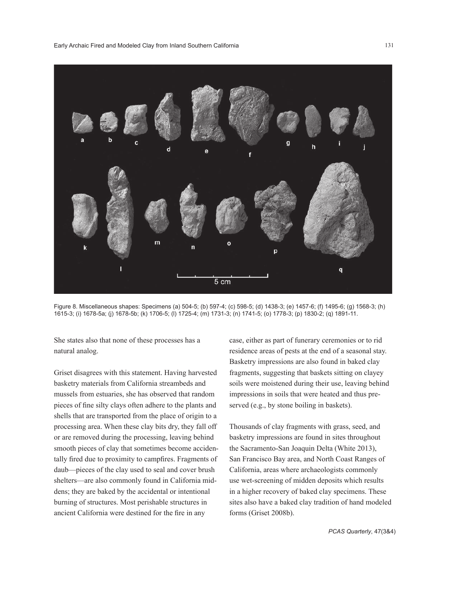

Figure 8. Miscellaneous shapes: Specimens (a) 504-5; (b) 597-4; (c) 598-5; (d) 1438-3; (e) 1457-6; (f) 1495-6; (g) 1568-3; (h) 1615-3; (i) 1678-5a; (j) 1678-5b; (k) 1706-5; (l) 1725-4; (m) 1731-3; (n) 1741-5; (o) 1778-3; (p) 1830-2; (q) 1891-11.

She states also that none of these processes has a natural analog.

Griset disagrees with this statement. Having harvested basketry materials from California streambeds and mussels from estuaries, she has observed that random pieces of fine silty clays often adhere to the plants and shells that are transported from the place of origin to a processing area. When these clay bits dry, they fall off or are removed during the processing, leaving behind smooth pieces of clay that sometimes become accidentally fired due to proximity to campfires. Fragments of daub—pieces of the clay used to seal and cover brush shelters—are also commonly found in California middens; they are baked by the accidental or intentional burning of structures. Most perishable structures in ancient California were destined for the fire in any

case, either as part of funerary ceremonies or to rid residence areas of pests at the end of a seasonal stay. Basketry impressions are also found in baked clay fragments, suggesting that baskets sitting on clayey soils were moistened during their use, leaving behind impressions in soils that were heated and thus preserved (e.g., by stone boiling in baskets).

Thousands of clay fragments with grass, seed, and basketry impressions are found in sites throughout the Sacramento-San Joaquin Delta (White 2013), San Francisco Bay area, and North Coast Ranges of California, areas where archaeologists commonly use wet-screening of midden deposits which results in a higher recovery of baked clay specimens. These sites also have a baked clay tradition of hand modeled forms (Griset 2008b).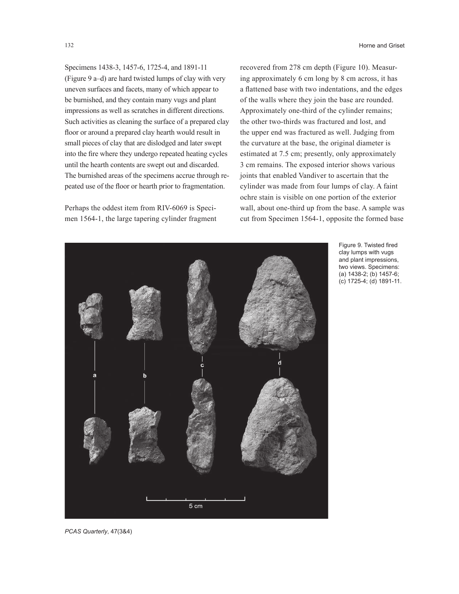132 **Horne and Griset** 

Specimens 1438-3, 1457-6, 1725-4, and 1891-11 (Figure 9 a–d) are hard twisted lumps of clay with very uneven surfaces and facets, many of which appear to be burnished, and they contain many vugs and plant impressions as well as scratches in different directions. Such activities as cleaning the surface of a prepared clay floor or around a prepared clay hearth would result in small pieces of clay that are dislodged and later swept into the fire where they undergo repeated heating cycles until the hearth contents are swept out and discarded. The burnished areas of the specimens accrue through repeated use of the floor or hearth prior to fragmentation.

Perhaps the oddest item from RIV-6069 is Specimen 1564-1, the large tapering cylinder fragment

recovered from 278 cm depth (Figure 10). Measuring approximately 6 cm long by 8 cm across, it has a flattened base with two indentations, and the edges of the walls where they join the base are rounded. Approximately one-third of the cylinder remains; the other two-thirds was fractured and lost, and the upper end was fractured as well. Judging from the curvature at the base, the original diameter is estimated at 7.5 cm; presently, only approximately 3 cm remains. The exposed interior shows various joints that enabled Vandiver to ascertain that the cylinder was made from four lumps of clay. A faint ochre stain is visible on one portion of the exterior wall, about one-third up from the base. A sample was cut from Specimen 1564-1, opposite the formed base



Figure 9. Twisted fired clay lumps with vugs and plant impressions, two views. Specimens: (a) 1438-2; (b) 1457-6; (c) 1725-4; (d) 1891-11.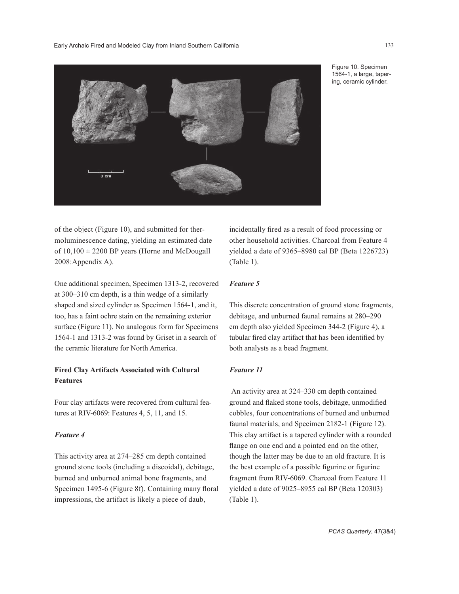Early Archaic Fired and Modeled Clay from Inland Southern California 133



Figure 10. Specimen 1564-1, a large, tapering, ceramic cylinder.

of the object (Figure 10), and submitted for thermoluminescence dating, yielding an estimated date of  $10,100 \pm 2200$  BP years (Horne and McDougall 2008:Appendix A).

One additional specimen, Specimen 1313-2, recovered at 300–310 cm depth, is a thin wedge of a similarly shaped and sized cylinder as Specimen 1564-1, and it, too, has a faint ochre stain on the remaining exterior surface (Figure 11). No analogous form for Specimens 1564-1 and 1313-2 was found by Griset in a search of the ceramic literature for North America.

## **Fired Clay Artifacts Associated with Cultural Features**

Four clay artifacts were recovered from cultural features at RIV-6069: Features 4, 5, 11, and 15.

## *Feature 4*

This activity area at 274–285 cm depth contained ground stone tools (including a discoidal), debitage, burned and unburned animal bone fragments, and Specimen 1495-6 (Figure 8f). Containing many floral impressions, the artifact is likely a piece of daub,

incidentally fired as a result of food processing or other household activities. Charcoal from Feature 4 yielded a date of 9365–8980 cal BP (Beta 1226723) (Table 1).

### *Feature 5*

This discrete concentration of ground stone fragments, debitage, and unburned faunal remains at 280–290 cm depth also yielded Specimen 344-2 (Figure 4), a tubular fired clay artifact that has been identified by both analysts as a bead fragment.

#### *Feature 11*

An activity area at 324–330 cm depth contained ground and flaked stone tools, debitage, unmodified cobbles, four concentrations of burned and unburned faunal materials, and Specimen 2182-1 (Figure 12). This clay artifact is a tapered cylinder with a rounded flange on one end and a pointed end on the other, though the latter may be due to an old fracture. It is the best example of a possible figurine or figurine fragment from RIV-6069. Charcoal from Feature 11 yielded a date of 9025–8955 cal BP (Beta 120303) (Table 1).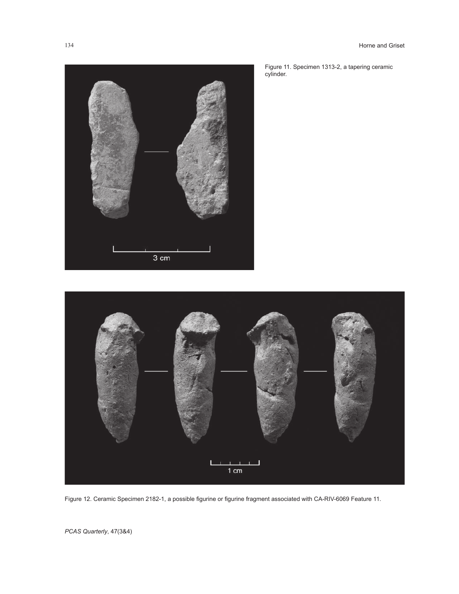

Figure 11. Specimen 1313-2, a tapering ceramic cylinder.



Figure 12. Ceramic Specimen 2182-1, a possible figurine or figurine fragment associated with CA-RIV-6069 Feature 11.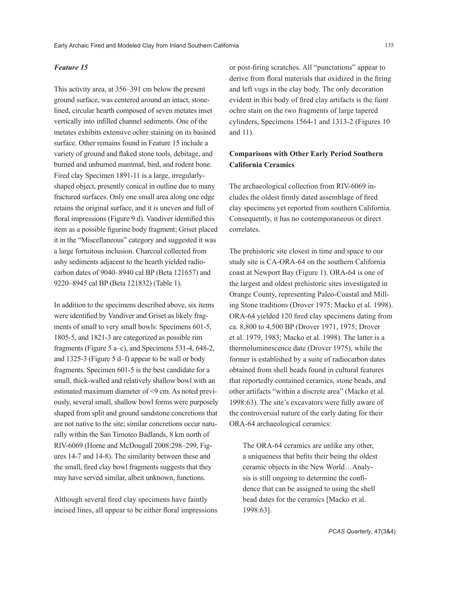#### *Feature 15*

This activity area, at 356–391 cm below the present ground surface, was centered around an intact, stonelined, circular hearth composed of seven metates inset vertically into infilled channel sediments. One of the metates exhibits extensive ochre staining on its basined surface. Other remains found in Feature 15 include a variety of ground and flaked stone tools, debitage, and burned and unburned mammal, bird, and rodent bone. Fired clay Specimen 1891-11 is a large, irregularlyshaped object, presently conical in outline due to many fractured surfaces. Only one small area along one edge retains the original surface, and it is uneven and full of floral impressions (Figure 9 d). Vandiver identified this item as a possible figurine body fragment; Griset placed it in the "Miscellaneous" category and suggested it was a large fortuitous inclusion. Charcoal collected from ashy sediments adjacent to the hearth yielded radiocarbon dates of 9040–8940 cal BP (Beta 121657) and 9220–8945 cal BP (Beta 121832) (Table 1).

In addition to the specimens described above, six items were identified by Vandiver and Griset as likely fragments of small to very small bowls: Specimens 601-5, 1805-5, and 1821-3 are categorized as possible rim fragments (Figure 5 a–c), and Specimens 531-4, 648-2, and 1325-3 (Figure 5 d–f) appear to be wall or body fragments. Specimen 601-5 is the best candidate for a small, thick-walled and relatively shallow bowl with an estimated maximum diameter of <9 cm. As noted previously, several small, shallow bowl forms were purposely shaped from split and ground sandstone concretions that are not native to the site; similar concretions occur naturally within the San Timoteo Badlands, 8 km north of RIV-6069 (Horne and McDougall 2008:298–299, Figures 14-7 and 14-8). The similarity between these and the small, fired clay bowl fragments suggests that they may have served similar, albeit unknown, functions.

Although several fired clay specimens have faintly incised lines, all appear to be either floral impressions or post-firing scratches. All "punctations" appear to derive from floral materials that oxidized in the firing and left vugs in the clay body. The only decoration evident in this body of fired clay artifacts is the faint ochre stain on the two fragments of large tapered cylinders, Specimens 1564-1 and 1313-2 (Figures 10 and 11).

# **Comparisons with Other Early Period Southern California Ceramics**

The archaeological collection from RIV-6069 includes the oldest firmly dated assemblage of fired clay specimens yet reported from southern California. Consequently, it has no contemporaneous or direct correlates.

The prehistoric site closest in time and space to our study site is CA-ORA-64 on the southern California coast at Newport Bay (Figure 1). ORA-64 is one of the largest and oldest prehistoric sites investigated in Orange County, representing Paleo-Coastal and Milling Stone traditions (Drover 1975; Macko et al. 1998). ORA-64 yielded 120 fired clay specimens dating from ca. 8,800 to 4,500 BP (Drover 1971, 1975; Drover et al. 1979, 1983; Macko et al. 1998). The latter is a thermoluminescence date (Drover 1975), while the former is established by a suite of radiocarbon dates obtained from shell beads found in cultural features that reportedly contained ceramics, stone beads, and other artifacts "within a discrete area" (Macko et al. 1998:63). The site's excavators were fully aware of the controversial nature of the early dating for their ORA-64 archaeological ceramics:

The ORA-64 ceramics are unlike any other, a uniqueness that befits their being the oldest ceramic objects in the New World…Analysis is still ongoing to determine the confidence that can be assigned to using the shell bead dates for the ceramics [Macko et al. 1998:63].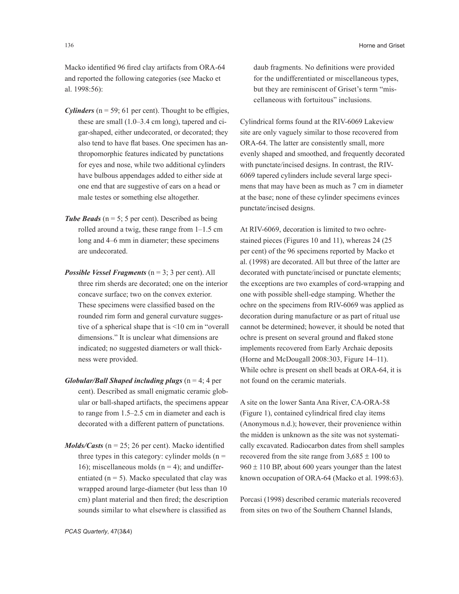Macko identified 96 fired clay artifacts from ORA-64 and reported the following categories (see Macko et al. 1998:56):

- *Cylinders* ( $n = 59$ ; 61 per cent). Thought to be effigies, these are small (1.0–3.4 cm long), tapered and cigar-shaped, either undecorated, or decorated; they also tend to have flat bases. One specimen has anthropomorphic features indicated by punctations for eyes and nose, while two additional cylinders have bulbous appendages added to either side at one end that are suggestive of ears on a head or male testes or something else altogether.
- **Tube Beads** ( $n = 5$ ; 5 per cent). Described as being rolled around a twig, these range from 1–1.5 cm long and 4–6 mm in diameter; these specimens are undecorated.
- *Possible Vessel Fragments* (n = 3; 3 per cent). All three rim sherds are decorated; one on the interior concave surface; two on the convex exterior. These specimens were classified based on the rounded rim form and general curvature suggestive of a spherical shape that is <10 cm in "overall dimensions." It is unclear what dimensions are indicated; no suggested diameters or wall thickness were provided.
- *Globular/Ball Shaped including plugs*  $(n = 4; 4$  per cent). Described as small enigmatic ceramic globular or ball-shaped artifacts, the specimens appear to range from 1.5–2.5 cm in diameter and each is decorated with a different pattern of punctations.
- *Molds/Casts* ( $n = 25$ ; 26 per cent). Macko identified three types in this category: cylinder molds  $(n =$ 16); miscellaneous molds  $(n = 4)$ ; and undifferentiated ( $n = 5$ ). Macko speculated that clay was wrapped around large-diameter (but less than 10 cm) plant material and then fired; the description sounds similar to what elsewhere is classified as

daub fragments. No definitions were provided for the undifferentiated or miscellaneous types, but they are reminiscent of Griset's term "miscellaneous with fortuitous" inclusions.

Cylindrical forms found at the RIV-6069 Lakeview site are only vaguely similar to those recovered from ORA-64. The latter are consistently small, more evenly shaped and smoothed, and frequently decorated with punctate/incised designs. In contrast, the RIV-6069 tapered cylinders include several large specimens that may have been as much as 7 cm in diameter at the base; none of these cylinder specimens evinces punctate/incised designs.

At RIV-6069, decoration is limited to two ochrestained pieces (Figures 10 and 11), whereas 24 (25 per cent) of the 96 specimens reported by Macko et al. (1998) are decorated. All but three of the latter are decorated with punctate/incised or punctate elements; the exceptions are two examples of cord-wrapping and one with possible shell-edge stamping. Whether the ochre on the specimens from RIV-6069 was applied as decoration during manufacture or as part of ritual use cannot be determined; however, it should be noted that ochre is present on several ground and flaked stone implements recovered from Early Archaic deposits (Horne and McDougall 2008:303, Figure 14–11). While ochre is present on shell beads at ORA-64, it is not found on the ceramic materials.

A site on the lower Santa Ana River, CA-ORA-58 (Figure 1), contained cylindrical fired clay items (Anonymous n.d.); however, their provenience within the midden is unknown as the site was not systematically excavated. Radiocarbon dates from shell samples recovered from the site range from  $3,685 \pm 100$  to  $960 \pm 110$  BP, about 600 years younger than the latest known occupation of ORA-64 (Macko et al. 1998:63).

Porcasi (1998) described ceramic materials recovered from sites on two of the Southern Channel Islands,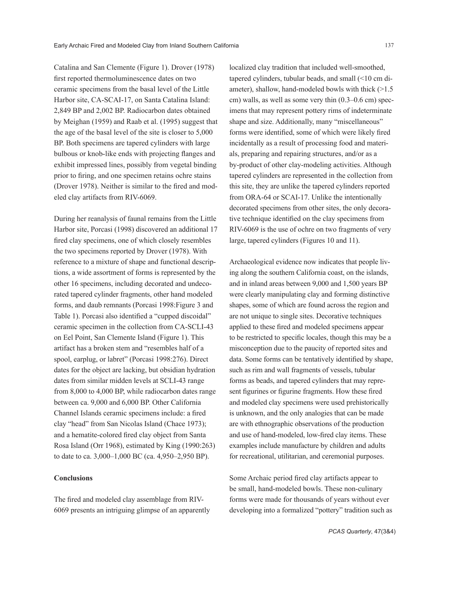Catalina and San Clemente (Figure 1). Drover (1978) first reported thermoluminescence dates on two ceramic specimens from the basal level of the Little Harbor site, CA-SCAI-17, on Santa Catalina Island: 2,849 BP and 2,002 BP. Radiocarbon dates obtained by Meighan (1959) and Raab et al. (1995) suggest that the age of the basal level of the site is closer to 5,000 BP. Both specimens are tapered cylinders with large bulbous or knob-like ends with projecting flanges and exhibit impressed lines, possibly from vegetal binding prior to firing, and one specimen retains ochre stains (Drover 1978). Neither is similar to the fired and modeled clay artifacts from RIV-6069.

During her reanalysis of faunal remains from the Little Harbor site, Porcasi (1998) discovered an additional 17 fired clay specimens, one of which closely resembles the two specimens reported by Drover (1978). With reference to a mixture of shape and functional descriptions, a wide assortment of forms is represented by the other 16 specimens, including decorated and undecorated tapered cylinder fragments, other hand modeled forms, and daub remnants (Porcasi 1998:Figure 3 and Table 1). Porcasi also identified a "cupped discoidal" ceramic specimen in the collection from CA-SCLI-43 on Eel Point, San Clemente Island (Figure 1). This artifact has a broken stem and "resembles half of a spool, earplug, or labret" (Porcasi 1998:276). Direct dates for the object are lacking, but obsidian hydration dates from similar midden levels at SCLI-43 range from 8,000 to 4,000 BP, while radiocarbon dates range between ca. 9,000 and 6,000 BP. Other California Channel Islands ceramic specimens include: a fired clay "head" from San Nicolas Island (Chace 1973); and a hematite-colored fired clay object from Santa Rosa Island (Orr 1968), estimated by King (1990:263) to date to ca. 3,000–1,000 BC (ca. 4,950–2,950 BP).

## **Conclusions**

The fired and modeled clay assemblage from RIV-6069 presents an intriguing glimpse of an apparently localized clay tradition that included well-smoothed, tapered cylinders, tubular beads, and small (<10 cm diameter), shallow, hand-modeled bowls with thick  $(>1.5$ cm) walls, as well as some very thin (0.3–0.6 cm) specimens that may represent pottery rims of indeterminate shape and size. Additionally, many "miscellaneous" forms were identified, some of which were likely fired incidentally as a result of processing food and materials, preparing and repairing structures, and/or as a by-product of other clay-modeling activities. Although tapered cylinders are represented in the collection from this site, they are unlike the tapered cylinders reported from ORA-64 or SCAI-17. Unlike the intentionally decorated specimens from other sites, the only decorative technique identified on the clay specimens from RIV-6069 is the use of ochre on two fragments of very large, tapered cylinders (Figures 10 and 11).

Archaeological evidence now indicates that people living along the southern California coast, on the islands, and in inland areas between 9,000 and 1,500 years BP were clearly manipulating clay and forming distinctive shapes, some of which are found across the region and are not unique to single sites. Decorative techniques applied to these fired and modeled specimens appear to be restricted to specific locales, though this may be a misconception due to the paucity of reported sites and data. Some forms can be tentatively identified by shape, such as rim and wall fragments of vessels, tubular forms as beads, and tapered cylinders that may represent figurines or figurine fragments. How these fired and modeled clay specimens were used prehistorically is unknown, and the only analogies that can be made are with ethnographic observations of the production and use of hand-modeled, low-fired clay items. These examples include manufacture by children and adults for recreational, utilitarian, and ceremonial purposes.

Some Archaic period fired clay artifacts appear to be small, hand-modeled bowls. These non-culinary forms were made for thousands of years without ever developing into a formalized "pottery" tradition such as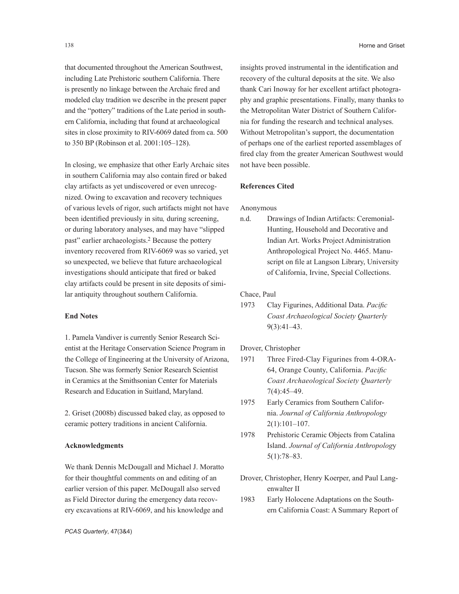that documented throughout the American Southwest, including Late Prehistoric southern California. There is presently no linkage between the Archaic fired and modeled clay tradition we describe in the present paper and the "pottery" traditions of the Late period in southern California, including that found at archaeological sites in close proximity to RIV-6069 dated from ca. 500 to 350 BP (Robinson et al. 2001:105–128).

In closing, we emphasize that other Early Archaic sites in southern California may also contain fired or baked clay artifacts as yet undiscovered or even unrecognized. Owing to excavation and recovery techniques of various levels of rigor, such artifacts might not have been identified previously in situ*,* during screening, or during laboratory analyses, and may have "slipped past" earlier archaeologists.2 Because the pottery inventory recovered from RIV-6069 was so varied, yet so unexpected, we believe that future archaeological investigations should anticipate that fired or baked clay artifacts could be present in site deposits of similar antiquity throughout southern California.

#### **End Notes**

1. Pamela Vandiver is currently Senior Research Scientist at the Heritage Conservation Science Program in the College of Engineering at the University of Arizona, Tucson. She was formerly Senior Research Scientist in Ceramics at the Smithsonian Center for Materials Research and Education in Suitland, Maryland.

2. Griset (2008b) discussed baked clay, as opposed to ceramic pottery traditions in ancient California.

#### **Acknowledgments**

We thank Dennis McDougall and Michael J. Moratto for their thoughtful comments on and editing of an earlier version of this paper. McDougall also served as Field Director during the emergency data recovery excavations at RIV-6069, and his knowledge and

insights proved instrumental in the identification and recovery of the cultural deposits at the site. We also thank Cari Inoway for her excellent artifact photography and graphic presentations. Finally, many thanks to the Metropolitan Water District of Southern California for funding the research and technical analyses. Without Metropolitan's support, the documentation of perhaps one of the earliest reported assemblages of fired clay from the greater American Southwest would not have been possible.

## **References Cited**

Anonymous

n.d. Drawings of Indian Artifacts: Ceremonial-Hunting, Household and Decorative and Indian Art. Works Project Administration Anthropological Project No. 4465. Manuscript on file at Langson Library, University of California, Irvine, Special Collections.

Chace, Paul

1973 Clay Figurines, Additional Data. *Pacific Coast Archaeological Society Quarterly* 9(3):41–43.

Drover, Christopher

- 1971 Three Fired-Clay Figurines from 4-ORA-64, Orange County, California. *Pacific Coast Archaeological Society Quarterly* 7(4):45–49.
- 1975 Early Ceramics from Southern California. *Journal of California Anthropology* 2(1):101–107.
- 1978 Prehistoric Ceramic Objects from Catalina Island. *Journal of California Anthropolog*y 5(1):78–83.
- Drover, Christopher, Henry Koerper, and Paul Langenwalter II
- 1983 Early Holocene Adaptations on the Southern California Coast: A Summary Report of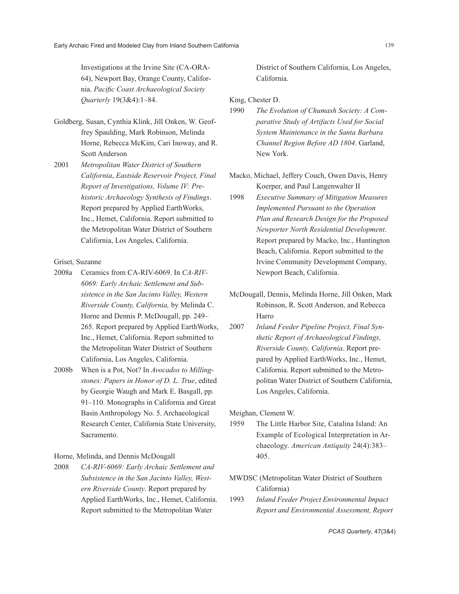Investigations at the Irvine Site (CA-ORA-64), Newport Bay, Orange County, California. *Pacific Coast Archaeological Society Quarterly* 19(3&4):1–84.

- Goldberg, Susan, Cynthia Klink, Jill Onken, W. Geoffrey Spaulding, Mark Robinson, Melinda Horne, Rebecca McKim, Cari Inoway, and R. Scott Anderson
- 2001 *Metropolitan Water District of Southern California*, *Eastside Reservoir Project, Final Report of Investigations, Volume IV: Prehistoric Archaeology Synthesis of Findings*. Report prepared by Applied EarthWorks, Inc., Hemet, California. Report submitted to the Metropolitan Water District of Southern California, Los Angeles, California.

#### Griset, Suzanne

- 2008a Ceramics from CA-RIV-6069. In *CA-RIV-6069: Early Archaic Settlement and Subsistence in the San Jacinto Valley, Western Riverside County, California,* by Melinda C. Horne and Dennis P. McDougall, pp. 249– 265. Report prepared by Applied EarthWorks, Inc., Hemet, California. Report submitted to the Metropolitan Water District of Southern California, Los Angeles, California.
- 2008b When is a Pot, Not? In *Avocados to Millingstones: Papers in Honor of D. L. True*, edited by Georgie Waugh and Mark E. Basgall, pp. 91–110. Monographs in California and Great Basin Anthropology No. 5. Archaeological Research Center, California State University, Sacramento.

Horne, Melinda, and Dennis McDougall

2008 *CA-RIV-6069: Early Archaic Settlement and Subsistence in the San Jacinto Valley, Western Riverside County*. Report prepared by Applied EarthWorks, Inc., Hemet, California. Report submitted to the Metropolitan Water

District of Southern California, Los Angeles, California.

## King, Chester D.

- 1990 *The Evolution of Chumash Society: A Comparative Study of Artifacts Used for Social System Maintenance in the Santa Barbara Channel Region Before AD 1804*. Garland, New York.
- Macko, Michael, Jeffery Couch, Owen Davis, Henry Koerper, and Paul Langenwalter II
- 1998 *Executive Summary of Mitigation Measures Implemented Pursuant to the Operation Plan and Research Design for the Proposed Newporter North Residential Development*. Report prepared by Macko, Inc., Huntington Beach, California. Report submitted to the Irvine Community Development Company, Newport Beach, California.
- McDougall, Dennis, Melinda Horne, Jill Onken, Mark Robinson, R. Scott Anderson, and Rebecca Harro
- 2007 *Inland Feeder Pipeline Project, Final Synthetic Report of Archaeological Findings, Riverside County, California*. Report prepared by Applied EarthWorks, Inc., Hemet, California. Report submitted to the Metropolitan Water District of Southern California, Los Angeles, California.

Meighan, Clement W.

- 1959 The Little Harbor Site, Catalina Island: An Example of Ecological Interpretation in Archaeology. *American Antiquity* 24(4):383– 405.
- MWDSC (Metropolitan Water District of Southern California)
- 1993 *Inland Feeder Project Environmental Impact Report and Environmental Assessment, Report*